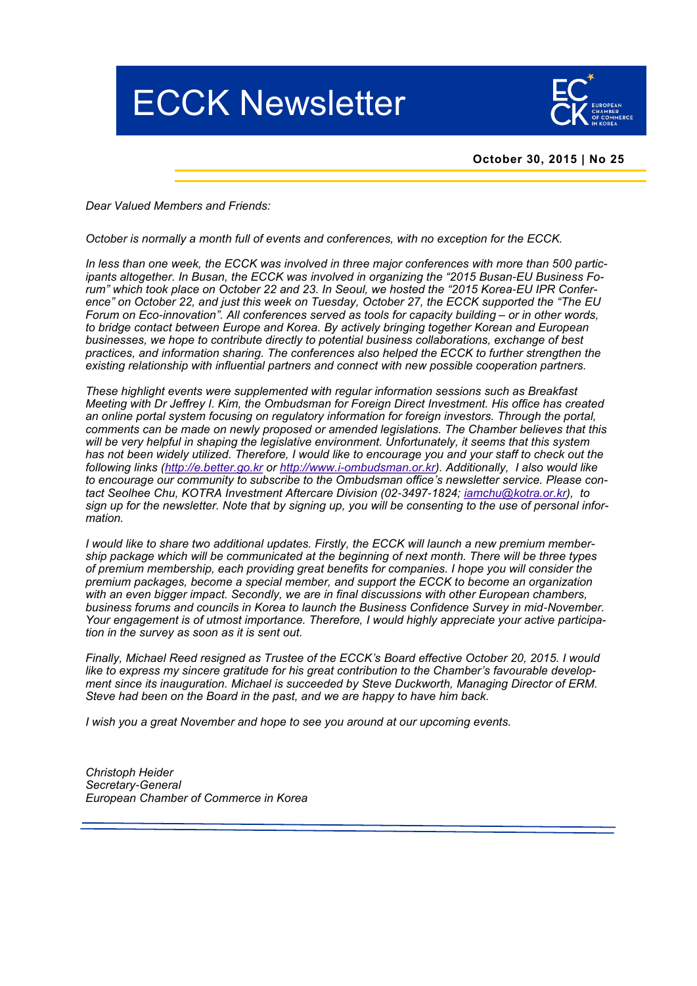# ECCK Newsletter



## **October 30, 2015 | No 25**

*Dear Valued Members and Friends:*

*October is normally a month full of events and conferences, with no exception for the ECCK.* 

*In less than one week, the ECCK was involved in three major conferences with more than 500 participants altogether. In Busan, the ECCK was involved in organizing the "2015 Busan*-*EU Business Forum" which took place on October 22 and 23. In Seoul, we hosted the "2015 Korea*-*EU IPR Conference" on October 22, and just this week on Tuesday, October 27, the ECCK supported the "[The EU](http://ecck.eu/nhc/bbs/board.php?bo_table=sub04_01&wr_id=226&sca=Past+Events)  [Forum on Eco](http://ecck.eu/nhc/bbs/board.php?bo_table=sub04_01&wr_id=226&sca=Past+Events)*-*innovation". All conferences served as tools for capacity building – or in other words, to bridge contact between Europe and Korea. By actively bringing together Korean and European businesses, we hope to contribute directly to potential business collaborations, exchange of best practices, and information sharing. The conferences also helped the ECCK to further strengthen the existing relationship with influential partners and connect with new possible cooperation partners.*

*These highlight events were supplemented with regular information sessions such as Breakfast Meeting with Dr Jeffrey I. Kim, the Ombudsman for Foreign Direct Investment. His office has created an online portal system focusing on regulatory information for foreign investors. Through the portal, comments can be made on newly proposed or amended legislations. The Chamber believes that this*  will be very helpful in shaping the legislative environment. Unfortunately, it seems that this system *has not been widely utilized. Therefore, I would like to encourage you and your staff to check out the following links (<http://e.better.go.kr> or http://www.i*-*[ombudsman.or.kr\)](http://www.i-ombudsman.or.kr). Additionally, I also would like to encourage our community to subscribe to the Ombudsman office's newsletter service. Please contact Seolhee Chu, KOTRA Investment Aftercare Division (02*-*3497*-*1824; [iamchu@kotra.or.kr\)](mailto:iamchu@kotra.or.kr), to sign up for the newsletter. Note that by signing up, you will be consenting to the use of personal information.* 

*I would like to share two additional updates. Firstly, the ECCK will launch a new premium membership package which will be communicated at the beginning of next month. There will be three types of premium membership, each providing great benefits for companies. I hope you will consider the premium packages, become a special member, and support the ECCK to become an organization with an even bigger impact. Secondly, we are in final discussions with other European chambers, business forums and councils in Korea to launch the Business Confidence Survey in mid*-*November. Your engagement is of utmost importance. Therefore, I would highly appreciate your active participation in the survey as soon as it is sent out.* 

*Finally, Michael Reed resigned as Trustee of the ECCK's Board effective October 20, 2015. I would*  like to express my sincere gratitude for his great contribution to the Chamber's favourable develop*ment since its inauguration. Michael is succeeded by Steve Duckworth, Managing Director of ERM. Steve had been on the Board in the past, and we are happy to have him back.* 

*I wish you a great November and hope to see you around at our upcoming events.*

*Christoph Heider Secretary*-*General European Chamber of Commerce in Korea*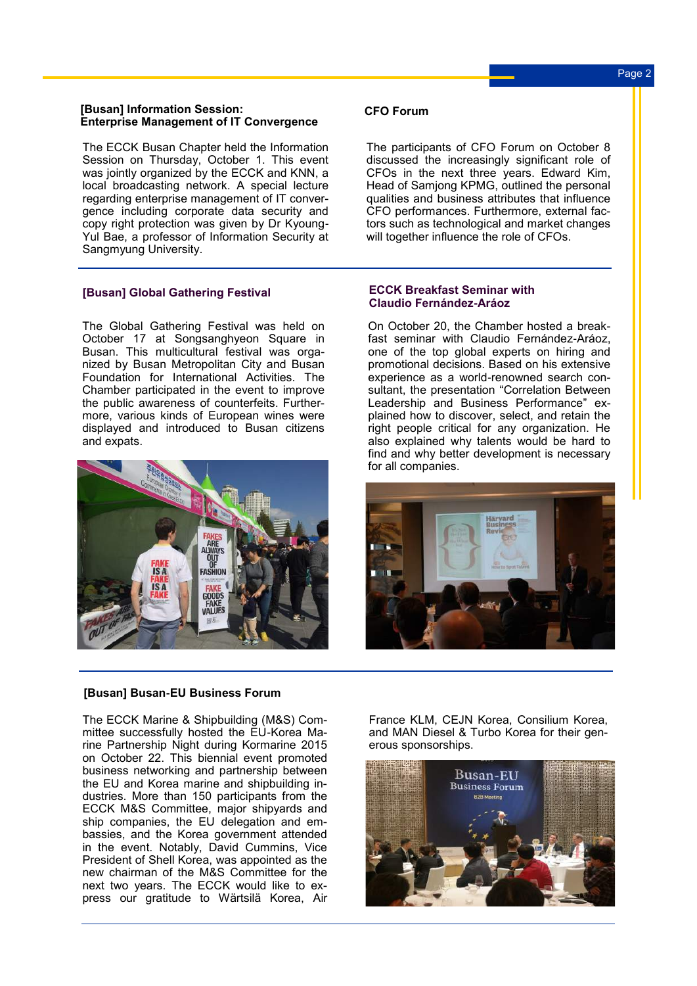# Page 2

#### **[Busan] Information Session: Enterprise Management of IT Convergence**

The ECCK Busan Chapter held the Information Session on Thursday, October 1. This event was jointly organized by the ECCK and KNN, a local broadcasting network. A special lecture regarding enterprise management of IT convergence including corporate data security and copy right protection was given by Dr Kyoung-Yul Bae, a professor of Information Security at Sangmyung University.

## **[Busan] Global Gathering Festival**

The Global Gathering Festival was held on October 17 at Songsanghyeon Square in Busan. This multicultural festival was organized by Busan Metropolitan City and Busan Foundation for International Activities. The Chamber participated in the event to improve the public awareness of counterfeits. Furthermore, various kinds of European wines were displayed and introduced to Busan citizens and expats.



#### **[Busan] Busan-EU Business Forum**

The ECCK Marine & Shipbuilding (M&S) Committee successfully hosted the EU-Korea Marine Partnership Night during Kormarine 2015 on October 22. This [biennial](http://endic.naver.com/search.nhn?query=biennial) event promoted business networking and partnership between the EU and Korea marine and shipbuilding industries. More than 150 participants from the ECCK M&S Committee, major shipyards and ship companies, the EU delegation and embassies, and the Korea government attended in the event. Notably, David Cummins, Vice President of Shell Korea, was appointed as the new chairman of the M&S Committee for the next two years. The ECCK would like to express our gratitude to Wärtsilä Korea, Air

## **CFO Forum**

The participants of CFO Forum on October 8 discussed the increasingly significant role of CFOs in the next three years. Edward Kim, Head of Samjong KPMG, outlined the personal qualities and business attributes that influence CFO performances. Furthermore, external factors such as technological and market changes will together influence the role of CFOs.

#### **ECCK Breakfast Seminar with Claudio Fernández-Aráoz**

On October 20, the Chamber hosted a breakfast seminar with Claudio Fernández-Aráoz, one of the top global experts on hiring and promotional decisions. Based on his extensive experience as a world-renowned search consultant, the presentation "Correlation Between Leadership and Business Performance" explained how to discover, select, and retain the right people critical for any organization. He also explained why talents would be hard to find and why better development is necessary for all companies.



France KLM, CEJN Korea, Consilium Korea, and MAN Diesel & Turbo Korea for their generous sponsorships.

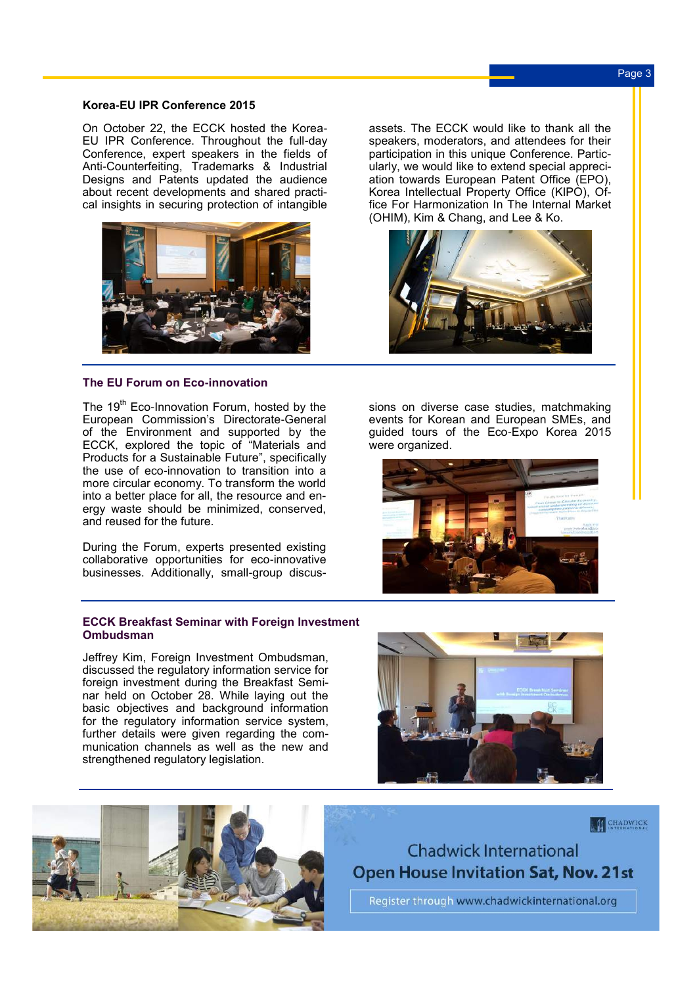#### **Korea-EU IPR Conference 2015**

On October 22, the ECCK hosted the Korea-EU IPR Conference. Throughout the full-day Conference, expert speakers in the fields of Anti-Counterfeiting, Trademarks & Industrial Designs and Patents updated the audience about recent developments and shared practical insights in securing protection of intangible



#### **The EU Forum on Eco-innovation**

The 19<sup>th</sup> Eco-Innovation Forum, hosted by the European Commission's Directorate-General of the Environment and supported by the ECCK, explored the topic of "Materials and Products for a Sustainable Future", specifically the use of eco-innovation to transition into a more circular economy. To transform the world into a better place for all, the resource and energy waste should be minimized, conserved, and reused for the future.

During the Forum, experts presented existing collaborative opportunities for eco-innovative businesses. Additionally, small-group discus-

#### **ECCK Breakfast Seminar with Foreign Investment Ombudsman**

Jeffrey Kim, Foreign Investment Ombudsman, discussed the regulatory information service for foreign investment during the Breakfast Seminar held on October 28. While laying out the basic objectives and background information for the regulatory information service system, further details were given regarding the communication channels as well as the new and strengthened regulatory legislation.



assets. The ECCK would like to thank all the speakers, moderators, and attendees for their participation in this unique Conference. Particularly, we would like to extend special appreciation towards European Patent Office (EPO), Korea Intellectual Property Office (KIPO), Office For Harmonization In The Internal Market (OHIM), Kim & Chang, and Lee & Ko.



sions on diverse case studies, matchmaking events for Korean and European SMEs, and guided tours of the Eco-Expo Korea 2015 were organized.



# **CHADWICK**

**Chadwick International Open House Invitation Sat, Nov. 21st** 

Register through www.chadwickinternational.org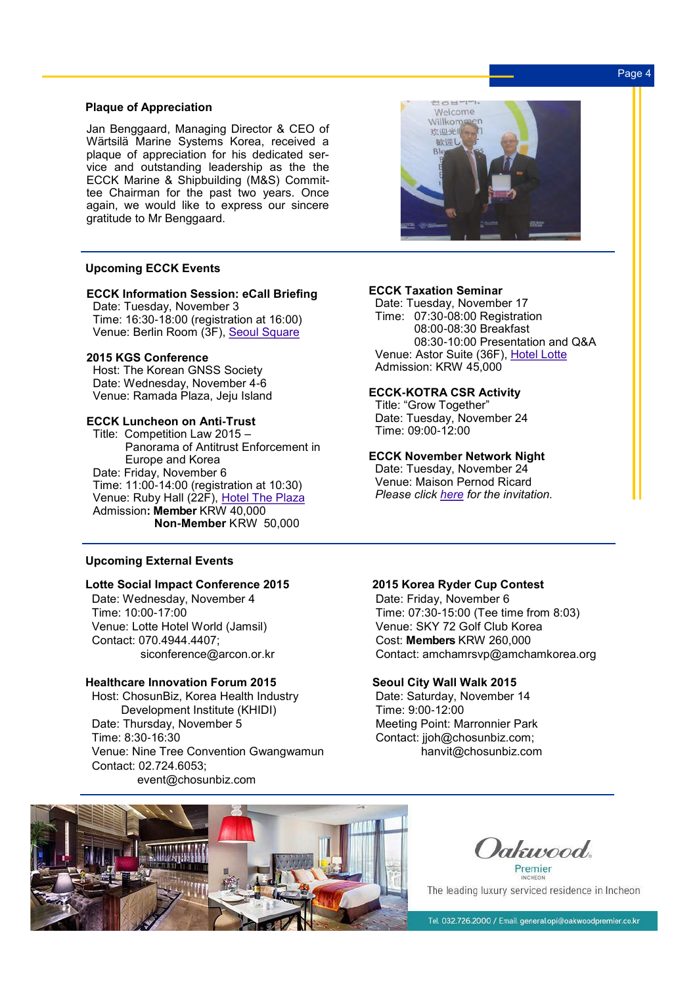# Page 4

#### **Plaque of Appreciation**

Jan Benggaard, Managing Director & CEO of Wärtsilä Marine Systems Korea, received a plaque of appreciation for his dedicated service and outstanding leadership as the the ECCK Marine & Shipbuilding (M&S) Committee Chairman for the past two years. Once again, we would like to express our sincere gratitude to Mr Benggaard.

# **Upcoming ECCK Events**

## **ECCK Information Session: eCall Briefing**

 Date: Tuesday, November 3 Time: 16:30-18:00 (registration at 16:00) Venue: Berlin Room (3F), [Seoul Square](http://www.seoulsquare.com/introduction/Location.asp)

#### **2015 KGS Conference**

**Host: The Korean GNSS Society**  Date: Wednesday, November 4-6 Venue: Ramada Plaza, Jeju Island

## **ECCK Luncheon on Anti-Trust**

 Title: Competition Law 2015 – Panorama of Antitrust Enforcement in Europe and Korea Date: Friday, November 6 Time: 11:00-14:00 (registration at 10:30) Venue: Ruby Hall (22F), [Hotel The Plaza](http://www.hoteltheplaza.com/eng/location/location.jsp) Admission**: Member** KRW 40,000 **Non-Member** KRW 50,000

#### **Upcoming External Events**

#### **Lotte Social Impact Conference 2015**

 Date: Wednesday, November 4 Time: 10:00-17:00 Venue: Lotte Hotel World (Jamsil) Contact: 070.4944.4407; siconference@arcon.or.kr

#### **Healthcare Innovation Forum 2015**

 Host: ChosunBiz, Korea Health Industry Development Institute (KHIDI) Date: Thursday, November 5 Time: 8:30-16:30 Venue: Nine Tree Convention Gwangwamun Contact: 02.724.6053; event@chosunbiz.com



#### **ECCK Taxation Seminar**

 Date: Tuesday, November 17 Time: 07:30-08:00 Registration 08:00-08:30 Breakfast 08:30-10:00 Presentation and Q&A Venue: Astor Suite (36F), [Hotel Lotte](http://www.lottehotel.com/seoul/en/location.asp) Admission: KRW 45,000

#### **ECCK-KOTRA CSR Activity**

 Title: "Grow Together" Date: Tuesday, November 24 Time: 09:00-12:00

## **ECCK November Network Night**

 Date: Tuesday, November 24 Venue: Maison Pernod Ricard *Please click [here](http://ecck.eu/nhc/bbs/board.php?bo_table=sub04_01&wr_id=224&sca=Upcoming+Events) for the invitation.* 

#### **2015 Korea Ryder Cup Contest**

 Date: Friday, November 6 Time: 07:30-15:00 (Tee time from 8:03) Venue: SKY 72 Golf Club Korea Cost: **Members** KRW 260,000 Contact: amchamrsvp@amchamkorea.org

#### **Seoul City Wall Walk 2015**

 Date: Saturday, November 14 Time: 9:00-12:00 Meeting Point: Marronnier Park Contact: jjoh@chosunbiz.com; hanvit@chosunbiz.com



*Dakuvood* 

Premier The leading luxury serviced residence in Incheon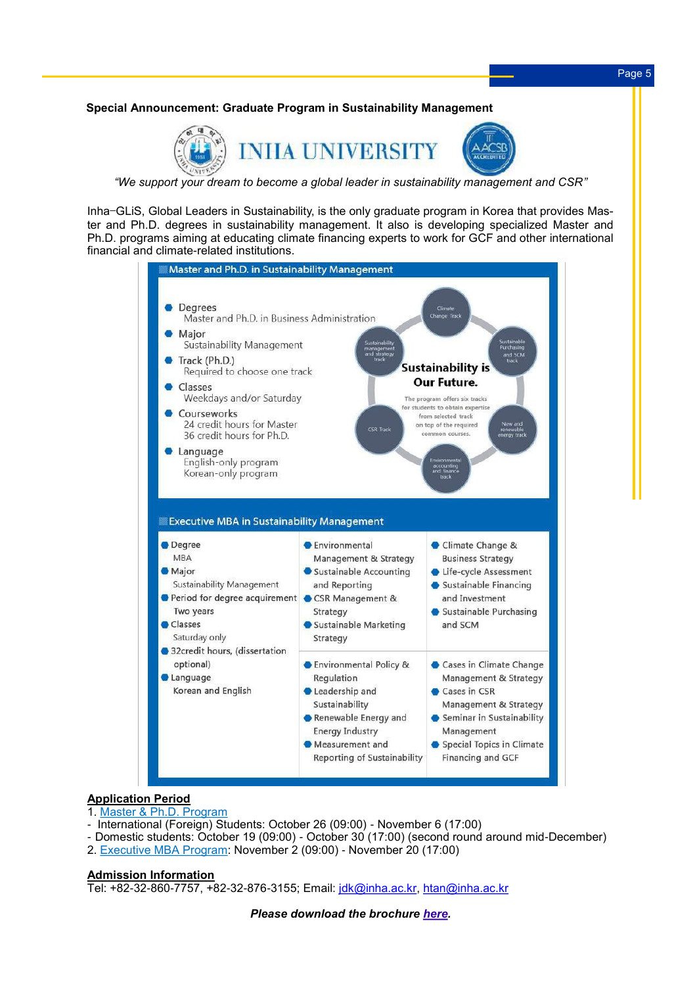# **Special Announcement: Graduate Program in Sustainability Management**



*"We support your dream to become a global leader in sustainability management and CSR"*

Inha–GLiS, Global Leaders in Sustainability, is the only graduate program in Korea that provides Master and Ph.D. degrees in sustainability management. It also is developing specialized Master and Ph.D. programs aiming at educating climate financing experts to work for GCF and other international financial and climate-related institutions.



## **Application Period**

- 1. [Master & Ph.D. Program](http://gradeng.inha.ac.kr/Default.aspx)
- International (Foreign) Students: October 26 (09:00) November 6 (17:00)
- Domestic students: October 19 (09:00) October 30 (17:00) (second round around mid-December)
- 2. [Executive MBA Program:](http://bizeng.inha.ac.kr/bus_graduate/Environ_Intro.aspx) November 2 (09:00) November 20 (17:00)

#### **Admission Information**

Tel: +82-32-860-7757, +82-32-876-3155; Email: [jdk@inha.ac.kr,](mailto:jdk@inha.ac.kr) [htan@inha.ac.kr](mailto:htan@inha.ac.kr)

*Please download the brochure [here.](http://in-korea.com/mail_img/inha_brochure_en.pdf)*